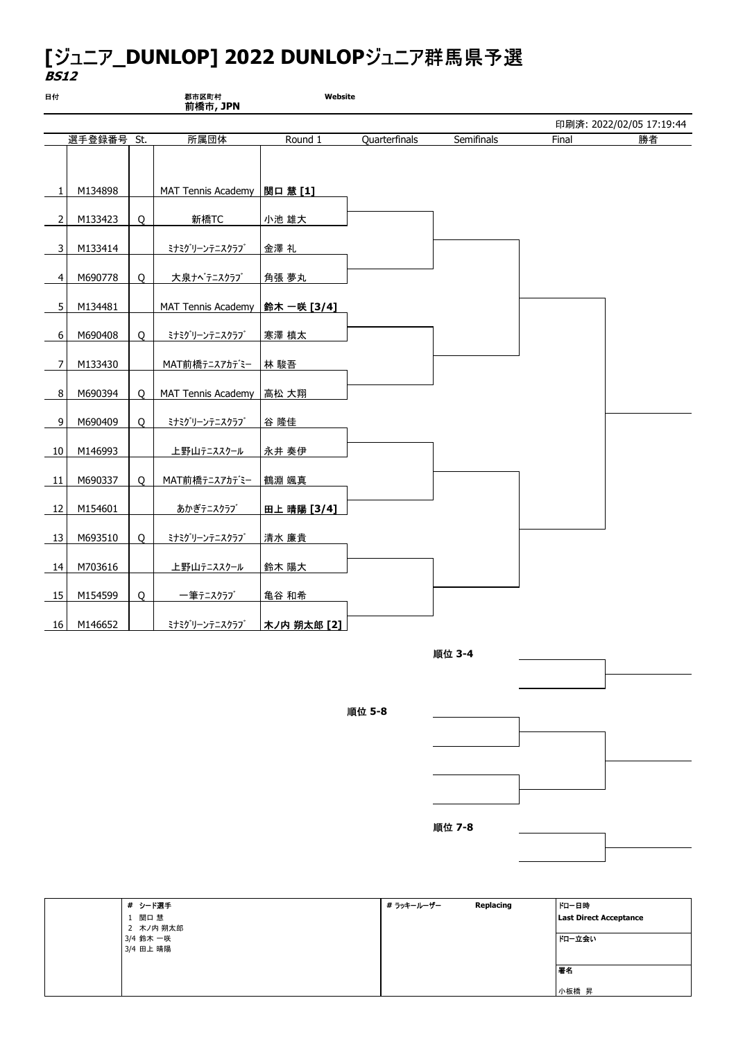## [ジュニア\_DUNLOP] 2022 DUNLOPジュニア群馬県予選 BS12

| 日付             |            |   | 郡市区町村<br>前橋市, JPN            | Website     |               |            |       |                          |
|----------------|------------|---|------------------------------|-------------|---------------|------------|-------|--------------------------|
|                |            |   |                              |             |               |            |       | 印刷済: 2022/02/05 17:19:44 |
|                | 選手登録番号 St. |   | 所属団体                         | Round 1     | Quarterfinals | Semifinals | Final | 勝者                       |
|                |            |   |                              |             |               |            |       |                          |
| $\mathbf{1}$   | M134898    |   | MAT Tennis Academy  関口 薏 [1] |             |               |            |       |                          |
| $\overline{2}$ | M133423    | Q | 新橋TC                         | 小池 雄大       |               |            |       |                          |
| 3              | M133414    |   | ミナミグリーンテニスクラブ                | 金澤 礼        |               |            |       |                          |
| $\overline{4}$ | M690778    | 0 | 大泉ナベテニスクラブ                   | 角張 夢丸       |               |            |       |                          |
| 5 <sup>1</sup> | M134481    |   | MAT Tennis Academy           | 鈴木 一咲 [3/4] |               |            |       |                          |
| 6              | M690408    | 0 | ミナミグリーンテニスクラブ                | 寒澤 槙太       |               |            |       |                          |
| 7              | M133430    |   | MAT前橋テニスアカデミー                | 林 駿吾        |               |            |       |                          |
| 8              | M690394    | 0 | MAT Tennis Academy           | 高松 大翔       |               |            |       |                          |
| 9              | M690409    | O | ミナミグリーンテニスクラブ                | 谷 隆佳        |               |            |       |                          |
| 10             | M146993    |   | 上野山テニススクール                   | 永井 奏伊       |               |            |       |                          |
| 11             | M690337    | 0 | MAT前橋テニスアカデミー                | 鶴淵 颯真       |               |            |       |                          |
| 12             | M154601    |   | あかぎテニスクラブ                    | 田上 晴陽 [3/4] |               |            |       |                          |
| 13             | M693510    | O | ミナミグリーンテニスクラブ                | 清水 廉貴       |               |            |       |                          |
| 14             | M703616    |   | 上野山テニススクール                   | 鈴木 陽大       |               |            |       |                          |
| 15             | M154599    | 0 | 一筆テニスクラブ                     | 亀谷 和希       |               |            |       |                          |
| 16             | M146652    |   | ミナミグリーンテニスクラブ                | 木ノ内 朔太郎 [2] |               |            |       |                          |



順位 5-8



| # シード選手   | # ラッキールーザー | Replacing | ┃トロー日時                        |
|-----------|------------|-----------|-------------------------------|
| 関口 慧      |            |           | <b>Last Direct Acceptance</b> |
| 2 木ノ内 朔太郎 |            |           |                               |
| 3/4 鈴木 一咲 |            |           | ドロー立会い                        |
| 3/4 田上 晴陽 |            |           |                               |
|           |            |           |                               |
|           |            |           | 署名                            |
|           |            |           |                               |
|           |            |           | 小板橋 昇                         |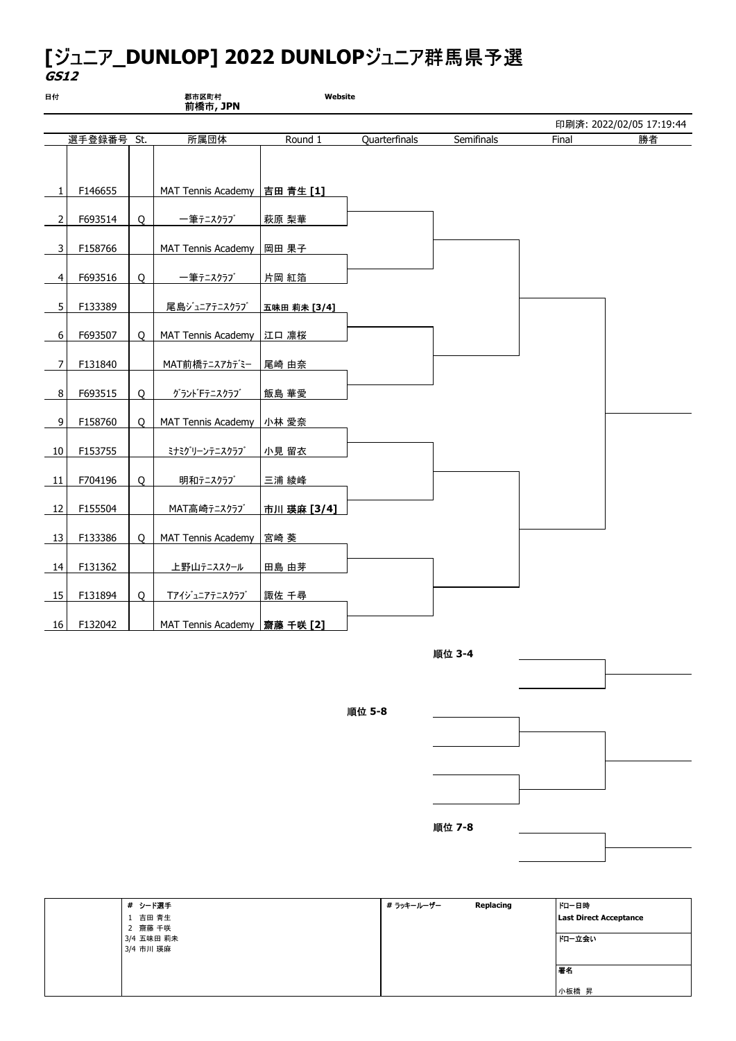## [ジュニア\_DUNLOP] 2022 DUNLOPジュニア群馬県予選 GS12

| 日付             |            |         | 郡市区町村<br>前橋市, JPN              | Website      |               |            |       |                          |
|----------------|------------|---------|--------------------------------|--------------|---------------|------------|-------|--------------------------|
|                |            |         |                                |              |               |            |       | 印刷済: 2022/02/05 17:19:44 |
|                | 選手登録番号 St. |         | 所属団体                           | Round 1      | Quarterfinals | Semifinals | Final | 勝者                       |
| $\mathbf{1}$   | F146655    |         | MAT Tennis Academy             | 吉田 青生 [1]    |               |            |       |                          |
| 2              | F693514    | Q       | 一筆テニスクラブ                       | 萩原 梨華        |               |            |       |                          |
| $\overline{3}$ | F158766    |         | MAT Tennis Academy             | 岡田 果子        |               |            |       |                          |
| 4              | F693516    | $\circ$ | 一筆テニスクラブ                       | 片岡 紅箔        |               |            |       |                          |
| 5              | F133389    |         | 尾島ジュニアテニスクラブ                   | 五味田 莉未 [3/4] |               |            |       |                          |
| 6              | F693507    | O       | MAT Tennis Academy             | 江口 凛桜        |               |            |       |                          |
| 7              | F131840    |         | MAT前橋テニスアカデミー                  | 尾崎 由奈        |               |            |       |                          |
| 8              | F693515    | O       | グラントドテニスクラブ                    | 飯島 華愛        |               |            |       |                          |
| 9              | F158760    | 0       | MAT Tennis Academy             | 小林 愛奈        |               |            |       |                          |
| 10             | F153755    |         | ミナミグリーンテニスクラブ                  | 小見 留衣        |               |            |       |                          |
| 11             | F704196    | 0       | 明和テニスクラブ                       | 三浦 綾峰        |               |            |       |                          |
| 12             | F155504    |         | MAT高崎テニスクラブ                    | 市川 瑛麻 [3/4]  |               |            |       |                          |
| 13             | F133386    | 0       | MAT Tennis Academy             | 宮崎 葵         |               |            |       |                          |
| 14             | F131362    |         | 上野山テニススクール                     | 田島 由芽        |               |            |       |                          |
| 15             | F131894    | $\circ$ | Tアイジュニアテニスクラブ                  | 諏佐 千尋        |               |            |       |                          |
| 16             | F132042    |         | MAT Tennis Academy   齋藤 千咲 [2] |              |               |            |       |                          |



順位 5-8



| # シード選手    | # ラッキールーザー | Replacing | │トロ−日時                        |
|------------|------------|-----------|-------------------------------|
| 1 吉田 青生    |            |           | <b>Last Direct Acceptance</b> |
| 2 齋藤 千咲    |            |           |                               |
| 3/4 五味田 莉未 |            |           | ドロー立会い                        |
| 3/4 市川 瑛麻  |            |           |                               |
|            |            |           |                               |
|            |            |           | 署名                            |
|            |            |           |                               |
|            |            |           | 小板橋 昇                         |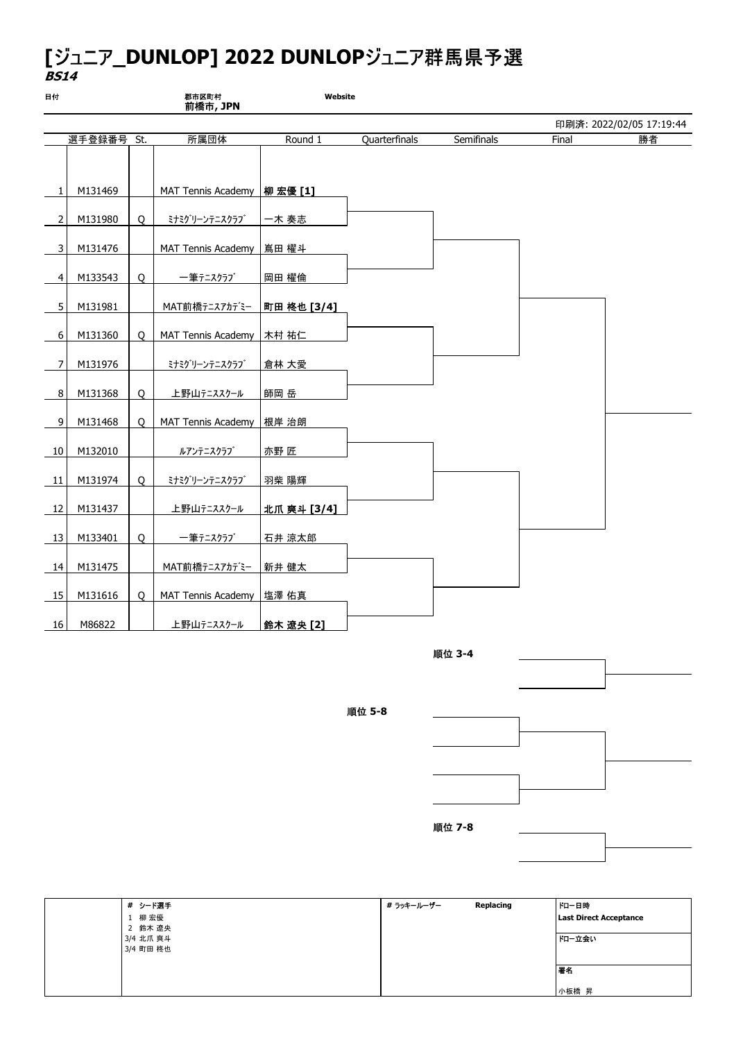## [ジュニア\_DUNLOP] 2022 DUNLOPジュニア群馬県予選 BS14

| 日付              |            |         | 郡市区町村<br>前橋市, JPN             | Website     |               |            |       |                          |
|-----------------|------------|---------|-------------------------------|-------------|---------------|------------|-------|--------------------------|
|                 |            |         |                               |             |               |            |       | 印刷済: 2022/02/05 17:19:44 |
|                 | 選手登録番号 St. |         | 所属団体                          | Round 1     | Quarterfinals | Semifinals | Final | 勝者                       |
|                 |            |         |                               |             |               |            |       |                          |
| $\mathbf{1}$    | M131469    |         | MAT Tennis Academy   柳 宏優 [1] |             |               |            |       |                          |
| $\overline{2}$  | M131980    | $\circ$ | ミナミグリーンテニスクラブ                 | 一木 奏志       |               |            |       |                          |
| 3               | M131476    |         | MAT Tennis Academy            | 嶌田 櫂斗       |               |            |       |                          |
| $\overline{4}$  | M133543    | $\circ$ | 一筆テニスクラブ                      | 岡田 櫂倫       |               |            |       |                          |
| 5 <sup>1</sup>  | M131981    |         | MAT前橋テニスアカデミー                 | 町田 柊也 [3/4] |               |            |       |                          |
| 6               | M131360    | 0       | MAT Tennis Academy            | 木村 祐仁       |               |            |       |                          |
| $\overline{7}$  | M131976    |         | ミナミグリーンテニスクラブ                 | 倉林 大愛       |               |            |       |                          |
| 8               | M131368    | 0       | 上野山テニススクール                    | 師岡 岳        |               |            |       |                          |
| 9               | M131468    | 0       | MAT Tennis Academy            | 根岸 治朗       |               |            |       |                          |
| 10 <sup>1</sup> | M132010    |         | ルアンテニスクラブ                     | 亦野 匠        |               |            |       |                          |
| 11              | M131974    | 0       | ミナミグリーンテニスクラブ                 | 羽柴 陽輝       |               |            |       |                          |
| 12              | M131437    |         | 上野山テニススクール                    | 北爪 爽斗 [3/4] |               |            |       |                          |
| 13              | M133401    | 0       | 一筆テニスクラブ                      | 石井 涼太郎      |               |            |       |                          |
| 14              | M131475    |         | MAT前橋テニスアカデミー                 | 新井 健太       |               |            |       |                          |
| 15              | M131616    | O       | MAT Tennis Academy   塩澤 佑真    |             |               |            |       |                          |
| 16              | M86822     |         | 上野山テニススクール                    | 鈴木 遼央 [2]   |               |            |       |                          |



順位 5-8



| # シード選手   | # ラッキールーザー | Replacing | ドロー日時                         |
|-----------|------------|-----------|-------------------------------|
| 1 柳 宏優    |            |           | <b>Last Direct Acceptance</b> |
| 2 鈴木 遼央   |            |           |                               |
| 3/4 北爪 爽斗 |            |           | ドロー立会い                        |
| 3/4 町田 柊也 |            |           |                               |
|           |            |           |                               |
|           |            |           | 署名                            |
|           |            |           |                               |
|           |            |           | 小板橋 昇                         |